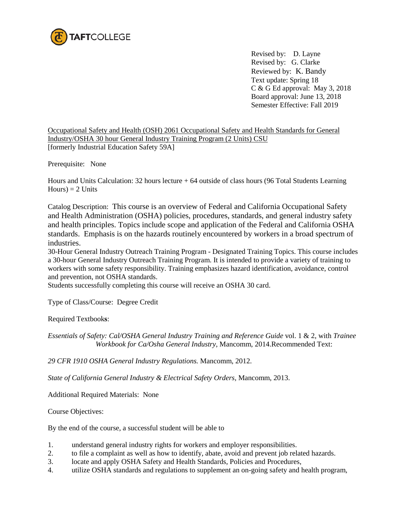

Revised by: D. Layne Revised by: G. Clarke Reviewed by: K. Bandy Text update: Spring 18 C & G Ed approval: May 3, 2018 Board approval: June 13, 2018 Semester Effective: Fall 2019

Occupational Safety and Health (OSH) 2061 Occupational Safety and Health Standards for General Industry/OSHA 30 hour General Industry Training Program (2 Units) CSU [formerly Industrial Education Safety 59A]

Prerequisite: None

Hours and Units Calculation: 32 hours lecture + 64 outside of class hours (96 Total Students Learning  $Hours$ ) = 2 Units

Catalog Description: This course is an overview of Federal and California Occupational Safety and Health Administration (OSHA) policies, procedures, standards, and general industry safety and health principles. Topics include scope and application of the Federal and California OSHA standards. Emphasis is on the hazards routinely encountered by workers in a broad spectrum of industries.

30-Hour General Industry Outreach Training Program - Designated Training Topics. This course includes a 30-hour General Industry Outreach Training Program. It is intended to provide a variety of training to workers with some safety responsibility. Training emphasizes hazard identification, avoidance, control and prevention, not OSHA standards.

Students successfully completing this course will receive an OSHA 30 card.

Type of Class/Course: Degree Credit

Required Textbook**s**:

*Essentials of Safety: Cal/OSHA General Industry Training and Reference Guide* vol. 1 & 2, with *Trainee Workbook for Ca/Osha General Industry,* Mancomm, 2014.Recommended Text:

*29 CFR 1910 OSHA General Industry Regulations.* Mancomm, 2012.

*State of California General Industry & Electrical Safety Orders,* Mancomm, 2013.

Additional Required Materials: None

Course Objectives:

By the end of the course, a successful student will be able to

- 1. understand general industry rights for workers and employer responsibilities.
- 2. to file a complaint as well as how to identify, abate, avoid and prevent job related hazards.
- 3. locate and apply OSHA Safety and Health Standards, Policies and Procedures,
- 4. utilize OSHA standards and regulations to supplement an on-going safety and health program,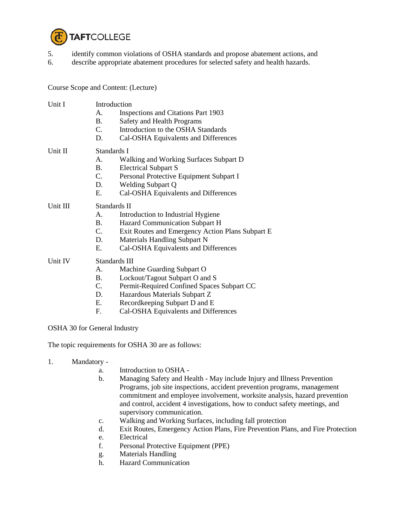

- 5. identify common violations of OSHA standards and propose abatement actions, and
- 6. describe appropriate abatement procedures for selected safety and health hazards.

Course Scope and Content: (Lecture)

| Unit I   | $\mathsf{A}$ .<br><b>B.</b><br>C.<br>D. | Introduction<br>Inspections and Citations Part 1903<br>Safety and Health Programs<br>Introduction to the OSHA Standards<br>Cal-OSHA Equivalents and Differences |
|----------|-----------------------------------------|-----------------------------------------------------------------------------------------------------------------------------------------------------------------|
|          |                                         |                                                                                                                                                                 |
| Unit II  | Standards I                             |                                                                                                                                                                 |
|          | $\mathsf{A}$ .                          | Walking and Working Surfaces Subpart D                                                                                                                          |
|          | <b>B.</b>                               | <b>Electrical Subpart S</b>                                                                                                                                     |
|          | $C_{\cdot}$                             | Personal Protective Equipment Subpart I                                                                                                                         |
|          | D.                                      | <b>Welding Subpart Q</b>                                                                                                                                        |
|          | $E_{\rm c}$                             | Cal-OSHA Equivalents and Differences                                                                                                                            |
| Unit III | Standards II                            |                                                                                                                                                                 |
|          | A.                                      | Introduction to Industrial Hygiene                                                                                                                              |
|          | <b>B.</b>                               | Hazard Communication Subpart H                                                                                                                                  |
|          | $C_{\cdot}$                             | Exit Routes and Emergency Action Plans Subpart E                                                                                                                |
|          | D.                                      | Materials Handling Subpart N                                                                                                                                    |
|          | E.                                      | Cal-OSHA Equivalents and Differences                                                                                                                            |
| Unit IV  | Standards III                           |                                                                                                                                                                 |
|          | A.                                      | Machine Guarding Subpart O                                                                                                                                      |
|          | <b>B.</b>                               | Lockout/Tagout Subpart O and S                                                                                                                                  |
|          | $C_{\cdot}$                             | Permit-Required Confined Spaces Subpart CC                                                                                                                      |
|          | D.                                      | Hazardous Materials Subpart Z                                                                                                                                   |
|          | Е.                                      | Recordkeeping Subpart D and E                                                                                                                                   |
|          | F.                                      | Cal-OSHA Equivalents and Differences                                                                                                                            |
|          |                                         |                                                                                                                                                                 |

OSHA 30 for General Industry

The topic requirements for OSHA 30 are as follows:

- 1. Mandatory
	- a. Introduction to OSHA -
	- b. Managing Safety and Health May include Injury and Illness Prevention Programs, job site inspections, accident prevention programs, management commitment and employee involvement, worksite analysis, hazard prevention and control, accident 4 investigations, how to conduct safety meetings, and supervisory communication.
	- c. Walking and Working Surfaces, including fall protection
	- d. Exit Routes, Emergency Action Plans, Fire Prevention Plans, and Fire Protection
	- e. Electrical
	- f. Personal Protective Equipment (PPE)
	- g. Materials Handling
	- h. Hazard Communication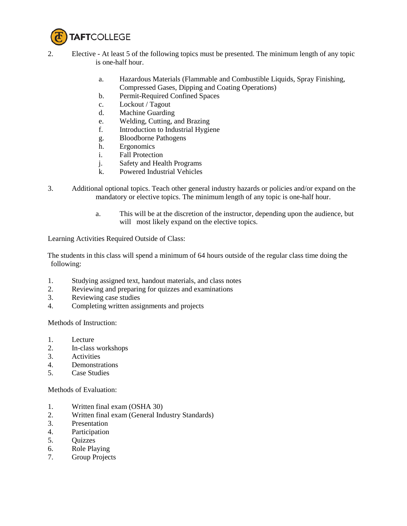

- 2. Elective At least 5 of the following topics must be presented. The minimum length of any topic is one-half hour.
	- a. Hazardous Materials (Flammable and Combustible Liquids, Spray Finishing, Compressed Gases, Dipping and Coating Operations)
	- b. Permit-Required Confined Spaces
	- c. Lockout / Tagout
	- d. Machine Guarding
	- e. Welding, Cutting, and Brazing
	- f. Introduction to Industrial Hygiene
	- g. Bloodborne Pathogens
	- h. Ergonomics
	- i. Fall Protection
	- j. Safety and Health Programs
	- k. Powered Industrial Vehicles
- 3. Additional optional topics. Teach other general industry hazards or policies and/or expand on the mandatory or elective topics. The minimum length of any topic is one-half hour.
	- a. This will be at the discretion of the instructor, depending upon the audience, but will most likely expand on the elective topics.

Learning Activities Required Outside of Class:

The students in this class will spend a minimum of 64 hours outside of the regular class time doing the following:

- 1. Studying assigned text, handout materials, and class notes
- 2. Reviewing and preparing for quizzes and examinations
- 3. Reviewing case studies
- 4. Completing written assignments and projects

Methods of Instruction:

- 1. Lecture
- 2. In-class workshops
- 3. Activities
- 4. Demonstrations
- 5. Case Studies

Methods of Evaluation:

- 1. Written final exam (OSHA 30)
- 2. Written final exam (General Industry Standards)
- 3. Presentation
- 4. Participation
- 5. Quizzes
- 6. Role Playing
- 7. Group Projects